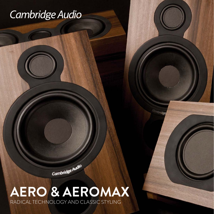## Cambridge Audio

Cambridge Audio

## **AERO & AEROMAX** RADICAL TECHNOLOGY AND CLASSIC STYLING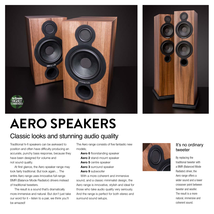



## **AERO SPEAKERS**

### Classic looks and stunning audio quality

Traditional hi-fi speakers can be awkward to position and often have difficulty producing an accurate, punchy bass response, because they have been designed for volume and not sound quality.

At first glance, the Aero speaker range may look fairly traditional. But look again… The entire Aero range uses innovative full-range BMR (Balance Mode Radiator) drivers instead of traditional tweeters.

The result is a sound that's dramatically more immersive and natural. But don't just take our word for it – listen to a pair, we think you'll be amazed!

The Aero range consists of five fantastic new models;

- **Aero 6** floorstanding speaker **Aero 2** stand-mount speaker
- **Aero 5** centre speaker
- **Aero 3** surround speaker
- **Aero 9** subwoofer

With a more coherent and immersive sound, and a classic minimalist design, the Aero range is innovative, stylish and ideal for those who take audio quality very seriously. And the range is perfect for both stereo and surround sound setups.



#### It's no ordinary tweeter

By replacing the traditional tweeter with a BMR (Balanced Mode Radiator) driver, the Aero range offers a wider sound and a lower crossover point between tweeter and woofer. The result is a more natural, immersive and coherent sound.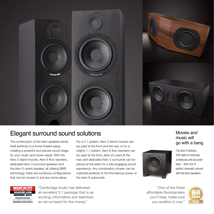

#### Elegant surround sound solutions Movies and

The construction of the Aero speakers lends itself perfectly to a home theatre setup, creating a powerful and precise sound stage for your music and movie needs. With the Aero 2 stand mounts, Aero 6 floor standers, dedicated Aero 3 surround speakers and the Aero 5 centre speaker, all utilising BMR technology, there are numerous configurations that can be chosen to suit any home setup.

For a 5.1 system, Aero 2 stand-mounts can be used at the front and the rear, or for a mighty 7.1 system, Aero 6 floor standers can be used at the front, Aero 2's used at the rear, and dedicated Aero 3 surrounds can be placed at the sides for a fully engaging sound experience. Any combination chosen can be matched perfectly to the thunderous power of the Aero 9 subwoofer.

### music will go with a bang



The Aero 9 delivers 500 watts of seriously sumptuous and accurate bass – that runs in perfect cinematic concert with the Aero speakers.

"One of the finest affordable floorstanders you'll hear, make sure you audition it now."



**HATHIELCOL AWARDS 2013** SPEAKER PACKAGES BEST TRADITIONAL PACKAGE £1500-£2 **CAMBRIDGE AUDIO AERO 5.1** 

"Cambridge Audio has delivered an excellent 5.1 package that is as exciting, informative and seamless as we've heard for the money"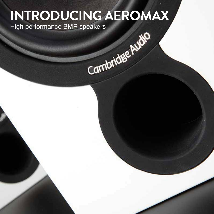# **INTRODUCING AEROMAX**

High performance BMR speakers<br>
AMP<br>
AMP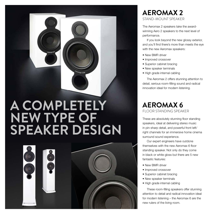**AEROMAX 6 A COMPLETELY** FLOOR STANDING SPEAKER **NEW TYPE OF SPEAKER DESIGN**



#### **AEROMAX 2** STAND-MOUNT SPEAKER

The Aeromax 2 speakers take the awardwinning Aero 2 speakers to the next level of performance.

If you look beyond the new glossy exterior, and you'll find there's more than meets the eye with the new Aeromax speakers:

- New BMR driver
- Improved crossover
- Superior cabinet bracing
- New speaker terminals
- High grade internal cabling

The Aeromax 2 offers stunning attention to detail, serious room-filling sound and radical innovation ideal for modern listening.

These are absolutely stunning floor standing speakers, ideal at delivering stereo music in pin-sharp detail, and powerful front left/ right channels for an immersive home cinema surround sound experience.

Our expert engineers have outdone themselves with the new Aeromax 6 floor standing speaker. Not only do they come in black or white gloss but there are 5 new fantastic features:

- New BMR driver
- Improved crossover
- Superior cabinet bracing
- New speaker terminals
- High grade internal cabling

These room-filling speakers offer stunning attention to detail and radical innovation ideal for modern listening – the Aeromax 6 are the new rulers of the living room.